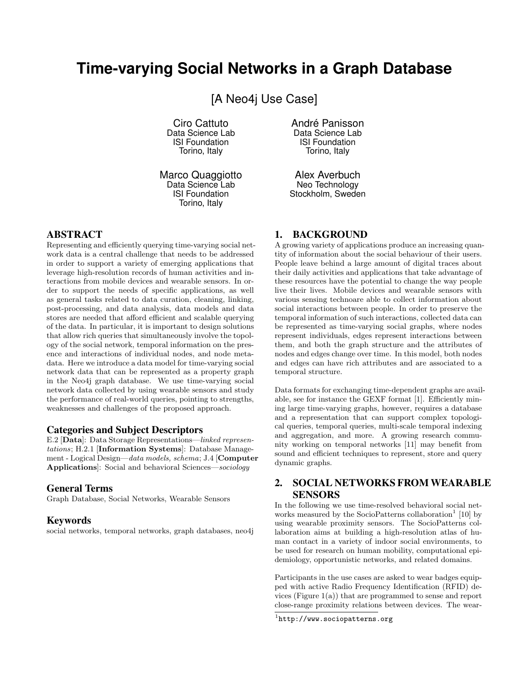# **Time-varying Social Networks in a Graph Database**

[A Neo4j Use Case]

Ciro Cattuto Data Science Lab ISI Foundation Torino, Italy

Marco Quaggiotto Data Science Lab ISI Foundation Torino, Italy

ABSTRACT

Representing and efficiently querying time-varying social network data is a central challenge that needs to be addressed in order to support a variety of emerging applications that leverage high-resolution records of human activities and interactions from mobile devices and wearable sensors. In order to support the needs of specific applications, as well as general tasks related to data curation, cleaning, linking, post-processing, and data analysis, data models and data stores are needed that afford efficient and scalable querying of the data. In particular, it is important to design solutions that allow rich queries that simultaneously involve the topology of the social network, temporal information on the presence and interactions of individual nodes, and node metadata. Here we introduce a data model for time-varying social network data that can be represented as a property graph in the Neo4j graph database. We use time-varying social network data collected by using wearable sensors and study the performance of real-world queries, pointing to strengths, weaknesses and challenges of the proposed approach.

#### Categories and Subject Descriptors

E.2 [Data]: Data Storage Representations—linked representations; H.2.1 [Information Systems]: Database Management - Logical Design—data models, schema; J.4 [Computer Applications]: Social and behavioral Sciences—sociology

#### General Terms

Graph Database, Social Networks, Wearable Sensors

#### **Keywords**

social networks, temporal networks, graph databases, neo4j

Torino, Italy Alex Averbuch

André Panisson Data Science Lab ISI Foundation

Neo Technology Stockholm, Sweden

#### 1. BACKGROUND

A growing variety of applications produce an increasing quantity of information about the social behaviour of their users. People leave behind a large amount of digital traces about their daily activities and applications that take advantage of these resources have the potential to change the way people live their lives. Mobile devices and wearable sensors with various sensing technoare able to collect information about social interactions between people. In order to preserve the temporal information of such interactions, collected data can be represented as time-varying social graphs, where nodes represent individuals, edges represent interactions between them, and both the graph structure and the attributes of nodes and edges change over time. In this model, both nodes and edges can have rich attributes and are associated to a temporal structure.

Data formats for exchanging time-dependent graphs are available, see for instance the GEXF format [1]. Efficiently mining large time-varying graphs, however, requires a database and a representation that can support complex topological queries, temporal queries, multi-scale temporal indexing and aggregation, and more. A growing research community working on temporal networks [11] may benefit from sound and efficient techniques to represent, store and query dynamic graphs.

# 2. SOCIAL NETWORKS FROM WEARABLE SENSORS

In the following we use time-resolved behavioral social networks measured by the SocioPatterns collaboration<sup>1</sup> [10] by using wearable proximity sensors. The SocioPatterns collaboration aims at building a high-resolution atlas of human contact in a variety of indoor social environments, to be used for research on human mobility, computational epidemiology, opportunistic networks, and related domains.

Participants in the use cases are asked to wear badges equipped with active Radio Frequency Identification (RFID) devices (Figure 1(a)) that are programmed to sense and report close-range proximity relations between devices. The wear-

 $1$ http://www.sociopatterns.org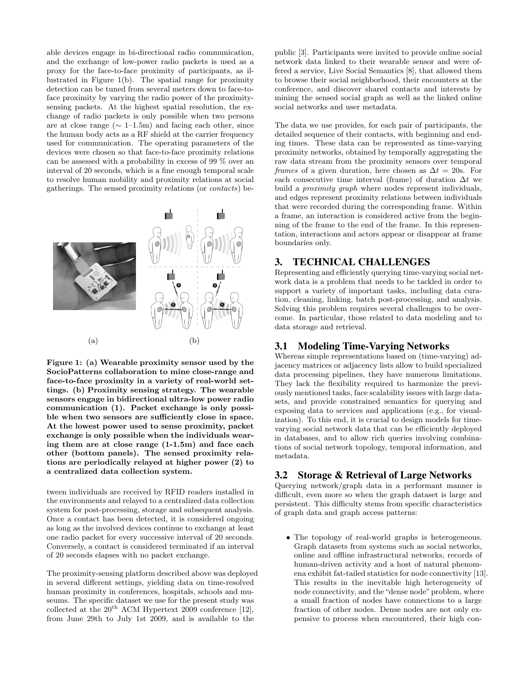able devices engage in bi-directional radio communication, and the exchange of low-power radio packets is used as a proxy for the face-to-face proximity of participants, as illustrated in Figure 1(b). The spatial range for proximity detection can be tuned from several meters down to face-toface proximity by varying the radio power of the proximitysensing packets. At the highest spatial resolution, the exchange of radio packets is only possible when two persons are at close range ( $\sim 1$ –1.5m) and facing each other, since the human body acts as a RF shield at the carrier frequency used for communication. The operating parameters of the devices were chosen so that face-to-face proximity relations can be assessed with a probability in excess of 99 % over an interval of 20 seconds, which is a fine enough temporal scale to resolve human mobility and proximity relations at social gatherings. The sensed proximity relations (or contacts) be-



Figure 1: (a) Wearable proximity sensor used by the SocioPatterns collaboration to mine close-range and face-to-face proximity in a variety of real-world settings. (b) Proximity sensing strategy. The wearable sensors engage in bidirectional ultra-low power radio communication (1). Packet exchange is only possible when two sensors are sufficiently close in space. At the lowest power used to sense proximity, packet exchange is only possible when the individuals wearing them are at close range (1-1.5m) and face each other (bottom panels). The sensed proximity relations are periodically relayed at higher power (2) to a centralized data collection system.

tween individuals are received by RFID readers installed in the environments and relayed to a centralized data collection system for post-processing, storage and subsequent analysis. Once a contact has been detected, it is considered ongoing as long as the involved devices continue to exchange at least one radio packet for every successive interval of 20 seconds. Conversely, a contact is considered terminated if an interval of 20 seconds elapses with no packet exchange.

The proximity-sensing platform described above was deployed in several different settings, yielding data on time-resolved human proximity in conferences, hospitals, schools and museums. The specific dataset we use for the present study was collected at the  $20<sup>th</sup>$  ACM Hypertext 2009 conference [12], from June 29th to July 1st 2009, and is available to the

public [3]. Participants were invited to provide online social network data linked to their wearable sensor and were offered a service, Live Social Semantics [8], that allowed them to browse their social neighborhood, their encounters at the conference, and discover shared contacts and interests by mining the sensed social graph as well as the linked online social networks and user metadata.

The data we use provides, for each pair of participants, the detailed sequence of their contacts, with beginning and ending times. These data can be represented as time-varying proximity networks, obtained by temporally aggregating the raw data stream from the proximity sensors over temporal *frames* of a given duration, here chosen as  $\Delta t = 20$ s. For each consecutive time interval (frame) of duration  $\Delta t$  we build a proximity graph where nodes represent individuals, and edges represent proximity relations between individuals that were recorded during the corresponding frame. Within a frame, an interaction is considered active from the beginning of the frame to the end of the frame. In this representation, interactions and actors appear or disappear at frame boundaries only.

# 3. TECHNICAL CHALLENGES

Representing and efficiently querying time-varying social network data is a problem that needs to be tackled in order to support a variety of important tasks, including data curation, cleaning, linking, batch post-processing, and analysis. Solving this problem requires several challenges to be overcome. In particular, those related to data modeling and to data storage and retrieval.

### 3.1 Modeling Time-Varying Networks

Whereas simple representations based on (time-varying) adjacency matrices or adjacency lists allow to build specialized data processing pipelines, they have numerous limitations. They lack the flexibility required to harmonize the previously mentioned tasks, face scalability issues with large datasets, and provide constrained semantics for querying and exposing data to services and applications (e.g., for visualization). To this end, it is crucial to design models for timevarying social network data that can be efficiently deployed in databases, and to allow rich queries involving combinations of social network topology, temporal information, and metadata.

# 3.2 Storage & Retrieval of Large Networks

Querying network/graph data in a performant manner is difficult, even more so when the graph dataset is large and persistent. This difficulty stems from specific characteristics of graph data and graph access patterns:

• The topology of real-world graphs is heterogeneous. Graph datasets from systems such as social networks, online and offline infrastructural networks, records of human-driven activity and a host of natural phenomena exhibit fat-tailed statistics for node connectivity [13]. This results in the inevitable high heterogeneity of node connectivity, and the "dense node" problem, where a small fraction of nodes have connections to a large fraction of other nodes. Dense nodes are not only expensive to process when encountered, their high con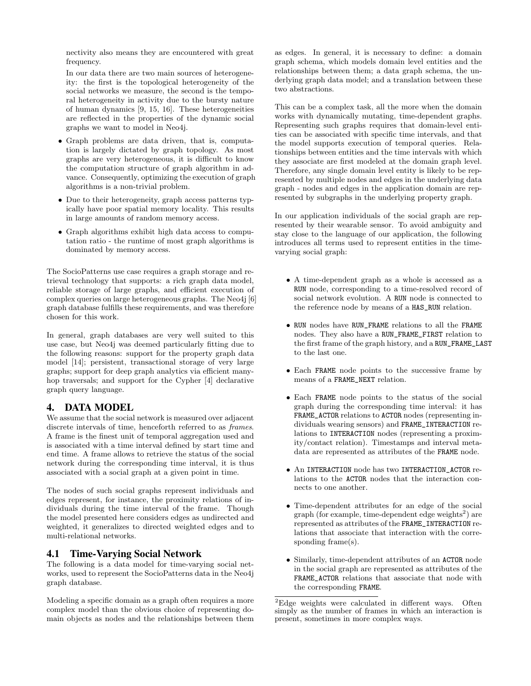nectivity also means they are encountered with great frequency.

In our data there are two main sources of heterogeneity: the first is the topological heterogeneity of the social networks we measure, the second is the temporal heterogeneity in activity due to the bursty nature of human dynamics [9, 15, 16]. These heterogeneities are reflected in the properties of the dynamic social graphs we want to model in Neo4j.

- Graph problems are data driven, that is, computation is largely dictated by graph topology. As most graphs are very heterogeneous, it is difficult to know the computation structure of graph algorithm in advance. Consequently, optimizing the execution of graph algorithms is a non-trivial problem.
- Due to their heterogeneity, graph access patterns typically have poor spatial memory locality. This results in large amounts of random memory access.
- Graph algorithms exhibit high data access to computation ratio - the runtime of most graph algorithms is dominated by memory access.

The SocioPatterns use case requires a graph storage and retrieval technology that supports: a rich graph data model, reliable storage of large graphs, and efficient execution of complex queries on large heterogeneous graphs. The Neo4j [6] graph database fulfills these requirements, and was therefore chosen for this work.

In general, graph databases are very well suited to this use case, but Neo4j was deemed particularly fitting due to the following reasons: support for the property graph data model [14]; persistent, transactional storage of very large graphs; support for deep graph analytics via efficient manyhop traversals; and support for the Cypher [4] declarative graph query language.

# 4. DATA MODEL

We assume that the social network is measured over adjacent discrete intervals of time, henceforth referred to as frames. A frame is the finest unit of temporal aggregation used and is associated with a time interval defined by start time and end time. A frame allows to retrieve the status of the social network during the corresponding time interval, it is thus associated with a social graph at a given point in time.

The nodes of such social graphs represent individuals and edges represent, for instance, the proximity relations of individuals during the time interval of the frame. Though the model presented here considers edges as undirected and weighted, it generalizes to directed weighted edges and to multi-relational networks.

# 4.1 Time-Varying Social Network

The following is a data model for time-varying social networks, used to represent the SocioPatterns data in the Neo4j graph database.

Modeling a specific domain as a graph often requires a more complex model than the obvious choice of representing domain objects as nodes and the relationships between them as edges. In general, it is necessary to define: a domain graph schema, which models domain level entities and the relationships between them; a data graph schema, the underlying graph data model; and a translation between these two abstractions.

This can be a complex task, all the more when the domain works with dynamically mutating, time-dependent graphs. Representing such graphs requires that domain-level entities can be associated with specific time intervals, and that the model supports execution of temporal queries. Relationships between entities and the time intervals with which they associate are first modeled at the domain graph level. Therefore, any single domain level entity is likely to be represented by multiple nodes and edges in the underlying data graph - nodes and edges in the application domain are represented by subgraphs in the underlying property graph.

In our application individuals of the social graph are represented by their wearable sensor. To avoid ambiguity and stay close to the language of our application, the following introduces all terms used to represent entities in the timevarying social graph:

- A time-dependent graph as a whole is accessed as a RUN node, corresponding to a time-resolved record of social network evolution. A RUN node is connected to the reference node by means of a HAS\_RUN relation.
- RUN nodes have RUN\_FRAME relations to all the FRAME nodes. They also have a RUN\_FRAME\_FIRST relation to the first frame of the graph history, and a RUN\_FRAME\_LAST to the last one.
- Each FRAME node points to the successive frame by means of a FRAME\_NEXT relation.
- Each FRAME node points to the status of the social graph during the corresponding time interval: it has FRAME\_ACTOR relations to ACTOR nodes (representing individuals wearing sensors) and FRAME\_INTERACTION relations to INTERACTION nodes (representing a proximity/contact relation). Timestamps and interval metadata are represented as attributes of the FRAME node.
- An INTERACTION node has two INTERACTION\_ACTOR relations to the ACTOR nodes that the interaction connects to one another.
- Time-dependent attributes for an edge of the social graph (for example, time-dependent edge weights<sup>2</sup>) are represented as attributes of the FRAME\_INTERACTION relations that associate that interaction with the corresponding frame(s).
- Similarly, time-dependent attributes of an ACTOR node in the social graph are represented as attributes of the FRAME\_ACTOR relations that associate that node with the corresponding FRAME.

<sup>2</sup>Edge weights were calculated in different ways. Often simply as the number of frames in which an interaction is present, sometimes in more complex ways.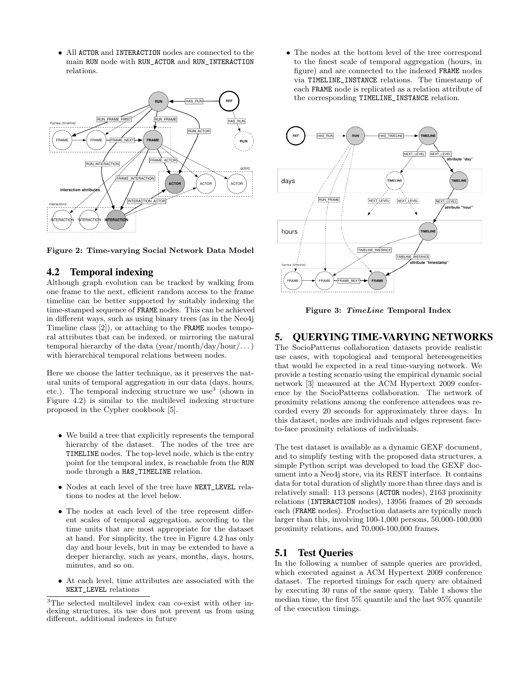• All ACTOR and INTERACTION nodes are connected to the main RUN node with RUN\_ACTOR and RUN\_INTERACTION relations.





# 4.2 Temporal indexing

Although graph evolution can be tracked by walking from one frame to the next, efficient random access to the frame timeline can be better supported by suitably indexing the time-stamped sequence of FRAME nodes. This can be achieved in different ways, such as using binary trees (as in the Neo4j Timeline class [2]), or attaching to the FRAME nodes temporal attributes that can be indexed, or mirroring the natural temporal hierarchy of the data (year/month/day/hour/...) with hierarchical temporal relations between nodes.

Here we choose the latter technique, as it preserves the natural units of temporal aggregation in our data (days, hours, etc.). The temporal indexing structure we use<sup>3</sup> (shown in Figure 4.2) is similar to the multilevel indexing structure proposed in the Cypher cookbook [5].

- We build a tree that explicitly represents the temporal hierarchy of the dataset. The nodes of the tree are TIMELINE nodes. The top-level node, which is the entry point for the temporal index, is reachable from the RUN node through a HAS\_TIMELINE relation.
- Nodes at each level of the tree have NEXT\_LEVEL relations to nodes at the level below.
- The nodes at each level of the tree represent different scales of temporal aggregation, according to the time units that are most appropriate for the dataset at hand. For simplicity, the tree in Figure 4.2 has only day and hour levels, but in may be extended to have a deeper hierarchy, such as years, months, days, hours, minutes, and so on.
- At each level, time attributes are associated with the NEXT\_LEVEL relations

• The nodes at the bottom level of the tree correspond to the finest scale of temporal aggregation (hours, in figure) and are connected to the indexed FRAME nodes via TIMELINE\_INSTANCE relations. The timestamp of each FRAME node is replicated as a relation attribute of the corresponding TIMELINE\_INSTANCE relation.



Figure 3: TimeLine Temporal Index

# 5. QUERYING TIME-VARYING NETWORKS

The SocioPatterns collaboration datasets provide realistic use cases, with topological and temporal hetereogeneities that would be expected in a real time-varying network. We provide a testing scenario using the empirical dynamic social network [3] measured at the ACM Hypertext 2009 conference by the SocioPatterns collaboration. The network of proximity relations among the conference attendees was recorded every 20 seconds for approximately three days. In this dataset, nodes are individuals and edges represent faceto-face proximity relations of individuals.

The test dataset is available as a dynamic GEXF document, and to simplify testing with the proposed data structures, a simple Python script was developed to load the GEXF document into a Neo4j store, via its REST interface. It contains data for total duration of slightly more than three days and is relatively small: 113 persons (ACTOR nodes), 2163 proximity relations (INTERACTION nodes), 13956 frames of 20 seconds each (FRAME nodes). Production datasets are typically much larger than this, involving 100-1,000 persons, 50,000-100,000 proximity relations, and 70,000-100,000 frames.

# 5.1 Test Queries

In the following a number of sample queries are provided, which executed against a ACM Hypertext 2009 conference dataset. The reported timings for each query are obtained by executing 30 runs of the same query. Table 1 shows the median time, the first 5% quantile and the last 95% quantile of the execution timings.

<sup>3</sup>The selected multilevel index can co-exist with other indexing structures, its use does not prevent us from using different, additional indexes in future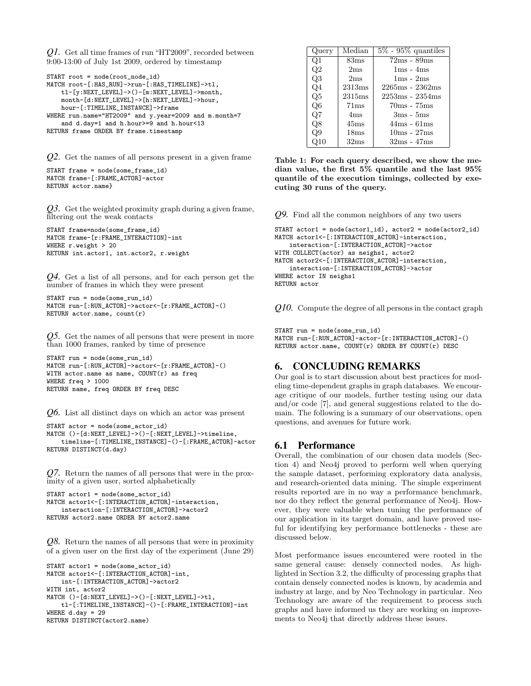*Q1.* Get all time frames of run "HT2009", recorded between 9:00-13:00 of July 1st 2009, ordered by timestamp

```
START root = node(root_node_id)
MATCH root-[:HAS_RUN]->run-[:HAS_TIMELINE]->tl,
   tl-[y:NEXT_LEVEL]->()-[m:NEXT_LEVEL]->month,
   month-[d:NEXT_LEVEL]->[h:NEXT_LEVEL]->hour,
   hour-[:TIMELINE_INSTANCE]->frame
WHERE run.name="HT2009" and y.year=2009 and m.month=7
    and d.day=1 and h.hour>=9 and h.hour<13
RETURN frame ORDER BY frame.timestamp
```
*Q2.* Get the names of all persons present in a given frame

```
START frame = node(some_frame_id)
MATCH frame-[:FRAME_ACTOR]-actor
RETURN actor.name}
```
*Q3.* Get the weighted proximity graph during a given frame, filtering out the weak contacts

```
START frame=node(some_frame_id)
MATCH frame-[r:FRAME_INTERACTION]-int
WHERE r.weight > 20
RETURN int.actor1, int.actor2, r.weight
```
*Q4.* Get a list of all persons, and for each person get the number of frames in which they were present

```
START run = node(some_run_id)
MATCH run-[:RUN_ACTOR]->actor<-[r:FRAME_ACTOR]-()
RETURN actor.name, count(r)
```
*Q5.* Get the names of all persons that were present in more than 1000 frames, ranked by time of presence

```
START run = node(some_run_id)
MATCH run-[:RUN_ACTOR]->actor<-[r:FRAME_ACTOR]-()
WITH actor.name as name, COUNT(r) as freq
WHERE freq > 1000
RETURN name, freq ORDER BY freq DESC
```
*Q6.* List all distinct days on which an actor was present

```
START actor = node(some actor_id)MATCH ()-[d:NEXT_LEVEL]->()-[:NEXT_LEVEL]->timeline,
   timeline-[:TIMELINE_INSTANCE]-()-[:FRAME_ACTOR]-actor
RETURN DISTINCT(d.day)
```
*Q7.* Return the names of all persons that were in the proximity of a given user, sorted alphabetically

```
START actor1 = node(some actor_id)MATCH actor1<-[:INTERACTION_ACTOR]-interaction,
   interaction-[:INTERACTION_ACTOR]->actor2
RETURN actor2.name ORDER BY actor2.name
```
*Q8.* Return the names of all persons that were in proximity of a given user on the first day of the experiment (June 29)

```
START actor1 = node(some_actor_id)
MATCH actor1<-[:INTERACTION_ACTOR]-int,
    int-[:INTERACTION_ACTOR]->actor2
WITH int, actor2
MATCH ()-[d:NEXT_LEVEL]->()-[:NEXT_LEVEL]->tl,
   tl-[:TIMELINE_INSTANCE]-()-[:FRAME_INTERACTION]-int
WHERE d.day = 29RETURN DISTINCT(actor2.name)
```

| Query | Median | $\sqrt{5\% - 95\%}$ quantiles |
|-------|--------|-------------------------------|
| Q1    | 83ms   | $72ms - 89ms$                 |
| Q2    | 2ms    | $1ms - 4ms$                   |
| Q3    | 2ms    | $1ms - 2ms$                   |
| Q4    | 2313ms | $2265ms - 2362ms$             |
| Q5    | 2315ms | $2253ms - 2354ms$             |
| Q6    | 71ms   | $70ms - 75ms$                 |
| Q7    | 4ms    | $3ms - 5ms$                   |
| Q8    | 45ms   | $44ms - 61ms$                 |
| Q9    | 18ms   | $10ms - 27ms$                 |
|       | 32ms   | $32ms - 47ms$                 |

Table 1: For each query described, we show the median value, the first 5% quantile and the last 95% quantile of the execution timings, collected by executing 30 runs of the query.

*Q9.* Find all the common neighbors of any two users

```
START actor1 = node(actor1_id), actor2 = node(actor2_id)
MATCH actor1<-[:INTERACTION_ACTOR]-interaction,
   interaction-[:INTERACTION_ACTOR]->actor
WITH COLLECT(actor) as neighs1, actor2
MATCH actor2<-[:INTERACTION_ACTOR]-interaction,
   interaction-[:INTERACTION_ACTOR]->actor
WHERE actor IN neighs1
RETURN actor
```
*Q10.* Compute the degree of all persons in the contact graph

```
START run = node(some run id)
```

```
MATCH run-[:RUN_ACTOR]-actor-[r:INTERACTION_ACTOR]-()
RETURN actor.name, COUNT(r) ORDER BY COUNT(r) DESC
```
# 6. CONCLUDING REMARKS

Our goal is to start discussion about best practices for modeling time-dependent graphs in graph databases. We encourage critique of our models, further testing using our data and/or code [7], and general suggestions related to the domain. The following is a summary of our observations, open questions, and avenues for future work.

#### 6.1 Performance

Overall, the combination of our chosen data models (Section 4) and Neo4j proved to perform well when querying the sample dataset, performing exploratory data analysis, and research-oriented data mining. The simple experiment results reported are in no way a performance benchmark, nor do they reflect the general performance of Neo4j. However, they were valuable when tuning the performance of our application in its target domain, and have proved useful for identifying key performance bottlenecks - these are discussed below.

Most performance issues encountered were rooted in the same general cause: densely connected nodes. As highlighted in Section 3.2, the difficulty of processing graphs that contain densely connected nodes is known, by academia and industry at large, and by Neo Technology in particular. Neo Technology are aware of the requirement to process such graphs and have informed us they are working on improvements to Neo4j that directly address these issues.